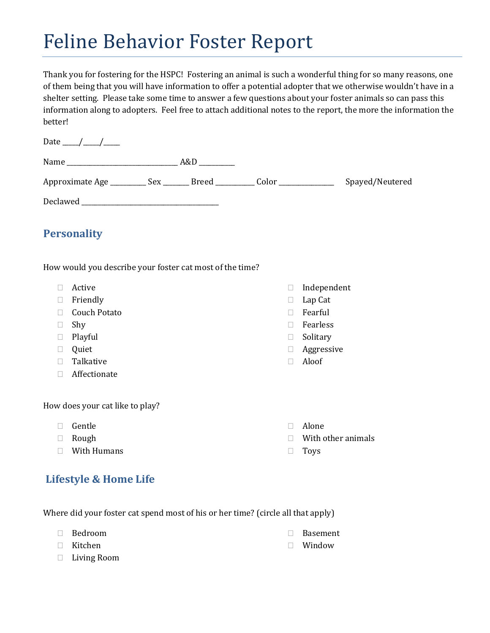# Feline Behavior Foster Report

Thank you for fostering for the HSPC! Fostering an animal is such a wonderful thing for so many reasons, one of them being that you will have information to offer a potential adopter that we otherwise wouldn't have in a shelter setting. Please take some time to answer a few questions about your foster animals so can pass this information along to adopters. Feel free to attach additional notes to the report, the more the information the better!

| Date $\_\_\_\/$                                                                  |                               |                 |
|----------------------------------------------------------------------------------|-------------------------------|-----------------|
|                                                                                  | $A&D$ <sub>____________</sub> |                 |
| Approximate Age __________ Sex ________ Breed ___________ Color ________________ |                               | Spayed/Neutered |
|                                                                                  |                               |                 |

## **Personality**

How would you describe your foster cat most of the time?

- Active
- □ Friendly
- □ Couch Potato
- □ Shy
- Playful
- **Quiet**
- $\Box$  Talkative
- Affectionate

How does your cat like to play?

- Gentle
- Rough
- With Humans

### **Lifestyle & Home Life**

Where did your foster cat spend most of his or her time? (circle all that apply)

- Bedroom
- Kitchen
- Basement
- Window

Living Room

- Independent
- □ Lap Cat
- Fearful
- □ Fearless
- □ Solitary
- Aggressive
- Aloof
- Alone
- With other animals
- Toys
-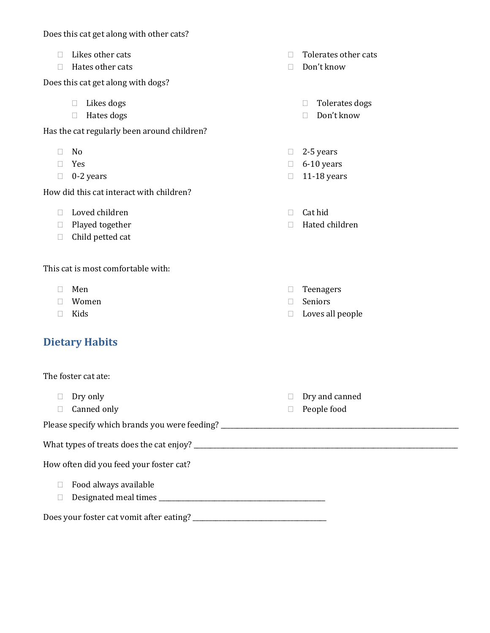Does this cat get along with other cats?

- $\Box$  Likes other cats
- $\Box$  Hates other cats

Does this cat get along with dogs?

- $\Box$  Likes dogs
- □ Hates dogs

Has the cat regularly been around children?

- $\Box$  No
- Yes
- $\Box$  0-2 years

How did this cat interact with children?

- $\Box$  Loved children
- $\Box$  Played together
- □ Child petted cat

This cat is most comfortable with:

- Men
- Women
- $\Box$  Kids

### **Dietary Habits**

The foster cat ate:  $\Box$  Dry only □ Canned only Dry and canned People food Please specify which brands you were feeding? \_\_\_\_\_\_\_\_\_\_\_\_\_\_\_\_\_\_\_\_\_\_\_\_\_\_\_\_\_\_\_\_\_\_\_\_\_\_\_\_\_\_\_\_\_\_\_\_\_\_\_\_\_\_\_\_\_\_\_\_\_\_\_\_\_\_\_\_\_\_\_\_\_ What types of treats does the cat enjoy? \_\_\_\_\_\_\_\_\_\_\_\_\_\_\_\_\_\_\_\_\_\_\_\_\_\_\_\_\_\_\_\_\_\_\_\_\_\_\_\_\_\_\_\_\_\_\_\_\_\_\_\_\_\_\_\_\_\_\_\_\_\_\_\_\_\_\_\_\_\_\_\_\_\_\_\_\_\_\_\_\_ How often did you feed your foster cat?  $\Box$  Food always available Designated meal times \_\_\_\_\_\_\_\_\_\_\_\_\_\_\_\_\_\_\_\_\_\_\_\_\_\_\_\_\_\_\_\_\_\_\_\_\_\_\_\_\_\_\_\_\_\_\_\_\_\_\_ Does your foster cat vomit after eating? \_\_\_\_\_\_\_\_\_\_\_\_\_\_\_\_\_\_\_\_\_\_\_\_\_\_\_\_\_\_\_\_\_\_\_\_\_\_\_\_\_

 $\Box$  Tolerates other cats

- □ Don't know
	- □ Tolerates dogs
	- □ Don't know
- $\Box$  2-5 years
- $\Box$  6-10 years
- $\Box$  11-18 years
- $\Box$  Cat hid
- Hated children
- Teenagers
- Seniors
- $\Box$  Loves all people